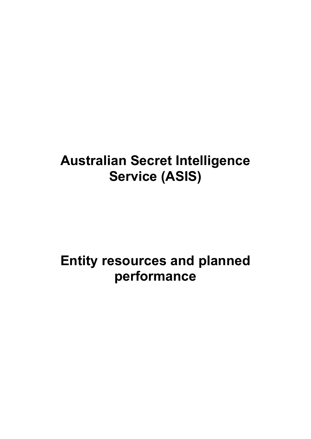# **Australian Secret Intelligence Service (ASIS)**

# **Entity resources and planned performance**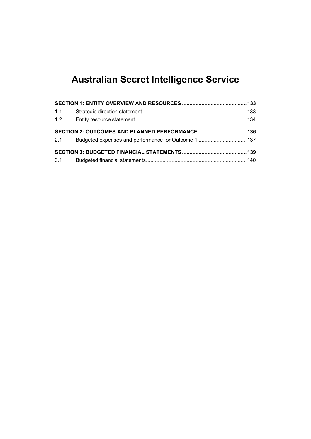## **Australian Secret Intelligence Service**

| 1.1 |                                                  |  |
|-----|--------------------------------------------------|--|
|     |                                                  |  |
|     | SECTION 2: OUTCOMES AND PLANNED PERFORMANCE  136 |  |
|     |                                                  |  |
|     |                                                  |  |
|     |                                                  |  |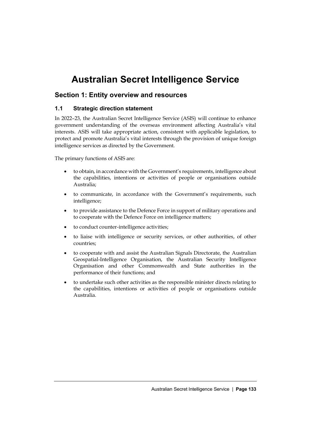## **Australian Secret Intelligence Service**

### <span id="page-4-0"></span>**Section 1: Entity overview and resources**

#### <span id="page-4-1"></span>**1.1 Strategic direction statement**

In 2022–23, the Australian Secret Intelligence Service (ASIS) will continue to enhance government understanding of the overseas environment affecting Australia's vital interests. ASIS will take appropriate action, consistent with applicable legislation, to protect and promote Australia's vital interests through the provision of unique foreign intelligence services as directed by the Government.

The primary functions of ASIS are:

- to obtain, in accordance with the Government's requirements, intelligence about the capabilities, intentions or activities of people or organisations outside Australia;
- to communicate, in accordance with the Government's requirements, such intelligence;
- to provide assistance to the Defence Force in support of military operations and to cooperate with the Defence Force on intelligence matters;
- to conduct counter-intelligence activities;
- to liaise with intelligence or security services, or other authorities, of other countries;
- to cooperate with and assist the Australian Signals Directorate, the Australian Geospatial-Intelligence Organisation, the Australian Security Intelligence Organisation and other Commonwealth and State authorities in the performance of their functions; and
- to undertake such other activities as the responsible minister directs relating to the capabilities, intentions or activities of people or organisations outside Australia.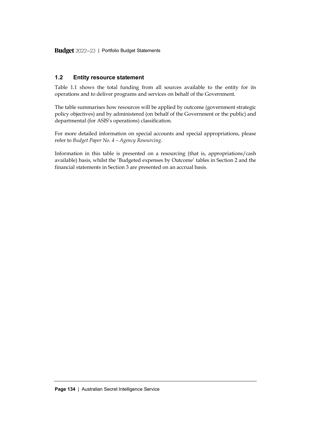Budget 2022-23 | Portfolio Budget Statements

### <span id="page-5-0"></span>**1.2 Entity resource statement**

Table 1.1 shows the total funding from all sources available to the entity for its operations and to deliver programs and services on behalf of the Government.

The table summarises how resources will be applied by outcome (government strategic policy objectives) and by administered (on behalf of the Government or the public) and departmental (for ASIS's operations) classification.

For more detailed information on special accounts and special appropriations, please refer to *Budget Paper No. 4 – Agency Resourcing*.

Information in this table is presented on a resourcing (that is, appropriations/cash available) basis, whilst the 'Budgeted expenses by Outcome' tables in Section 2 and the financial statements in Section 3 are presented on an accrual basis.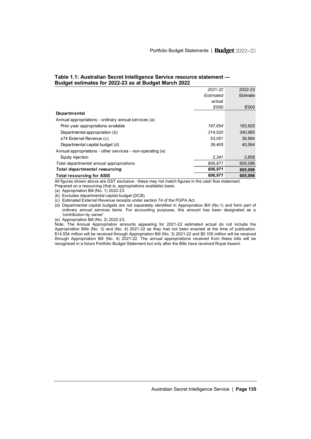|                                                            | 2021-22   | 2022-23  |
|------------------------------------------------------------|-----------|----------|
|                                                            | Estimated | Estimate |
|                                                            | actual    |          |
|                                                            | \$'000    | \$'000   |
| <b>Departmental</b>                                        |           |          |
| Annual appropriations - ordinary annual services (a)       |           |          |
| Prior year appropriations available                        | 197.654   | 183.825  |
| Departmental appropriation (b)                             | 314.520   | 340.965  |
| s74 External Revenue (c)                                   | 53.051    | 36.884   |
| Departmental capital budget (d)                            | 39.405    | 40.564   |
| Annual appropriations - other services - non-operating (e) |           |          |
| Equity injection                                           | 2.341     | 2,858    |
| Total departmental annual appropriations                   | 606.971   | 605.096  |
| Total departmental resourcing                              | 606,971   | 605,096  |
| <b>Total resourcing for ASIS</b>                           | 606.971   | 605,096  |

#### **Table 1.1: Australian Secret Intelligence Service resource statement — Budget estimates for 2022-23 as at Budget March 2022**

All figures shown above are GST exclusive - these may not match figures in the cash flow statement. Prepared on a resourcing (that is, appropriations available) basis.

(a) Appropriation Bill (No. 1) 2022-23.

(b) Excludes departmental capital budget (DCB).

(c) Estimated External Revenue receipts under section 74 of the PGPA Act.

(d) Departmental capital budgets are not separately identified in Appropriation Bill (No.1) and form part of ordinary annual services items. For accounting purposes, this amount has been designated as a 'contribution by owner'.

(e) Appropriation Bill (No. 2) 2022-23.

Note: The Annual Appropriation amounts appearing for 2021-22 estimated actual do not include the Appropriation Bills (No. 3) and (No. 4) 2021-22 as they had not been enacted at the time of publication. \$14.554 million will be received through Appropriation Bill (No. 3) 2021-22 and \$0.105 million will be received through Appropriation Bill (No. 4) 2021-22. The annual appropriations received from these bills will be recognised in a future Portfolio Budget Statement but only after the Bills have received Royal Assent.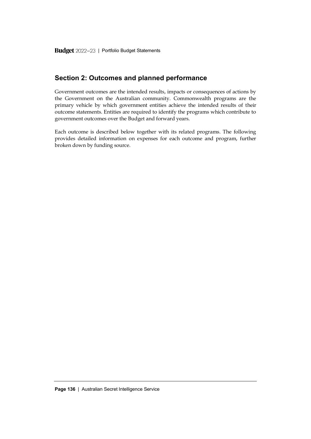### <span id="page-7-0"></span>**Section 2: Outcomes and planned performance**

Government outcomes are the intended results, impacts or consequences of actions by the Government on the Australian community. Commonwealth programs are the primary vehicle by which government entities achieve the intended results of their outcome statements. Entities are required to identify the programs which contribute to government outcomes over the Budget and forward years.

Each outcome is described below together with its related programs. The following provides detailed information on expenses for each outcome and program, further broken down by funding source.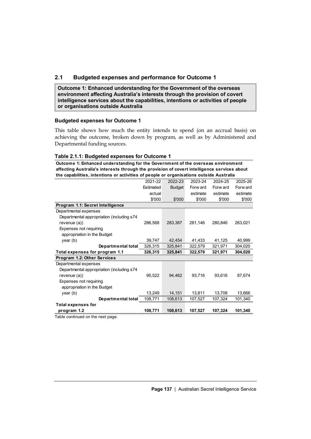#### <span id="page-8-0"></span>**2.1 Budgeted expenses and performance for Outcome 1**

**Outcome 1: Enhanced understanding for the Government of the overseas environment affecting Australia's interests through the provision of covert intelligence services about the capabilities, intentions or activities of people or organisations outside Australia**

#### **Budgeted expenses for Outcome 1**

This table shows how much the entity intends to spend (on an accrual basis) on achieving the outcome, broken down by program, as well as by Administered and Departmental funding sources.

#### **Table 2.1.1: Budgeted expenses for Outcome 1**

**Outcome 1: Enhanced understanding for the Government of the overseas environment affecting Australia's interests through the provision of covert intelligence services about** 

| the capabilities, intentions or activities of people or organisations outside Australia |           |               |          |          |          |  |
|-----------------------------------------------------------------------------------------|-----------|---------------|----------|----------|----------|--|
|                                                                                         | 2021-22   | 2022-23       | 2023-24  | 2024-25  | 2025-26  |  |
|                                                                                         | Estimated | <b>Budget</b> | Forw ard | Forw ard | Forw ard |  |
|                                                                                         | actual    |               | estimate | estimate | estimate |  |
|                                                                                         | \$'000    | \$'000        | \$'000   | \$'000   | \$'000   |  |
| Program 1.1: Secret Intelligence                                                        |           |               |          |          |          |  |
| Departmental expenses                                                                   |           |               |          |          |          |  |
| Departmental appropriation (including s74                                               |           |               |          |          |          |  |
| revenue $(a)$ )                                                                         | 286,568   | 283,387       | 281,146  | 280,846  | 263,021  |  |
| Expenses not requiring                                                                  |           |               |          |          |          |  |
| appropriation in the Budget                                                             |           |               |          |          |          |  |
| year (b)                                                                                | 39.747    | 42,454        | 41,433   | 41,125   | 40,999   |  |
| Departmental total                                                                      | 326,315   | 325,841       | 322,579  | 321,971  | 304,020  |  |
| Total expenses for program 1.1                                                          | 326,315   | 325,841       | 322,579  | 321,971  | 304,020  |  |
| Program 1.2: Other Services                                                             |           |               |          |          |          |  |
| Departmental expenses                                                                   |           |               |          |          |          |  |
| Departmental appropriation (including s74                                               |           |               |          |          |          |  |
| revenue $(a)$ )                                                                         | 95.522    | 94,462        | 93,716   | 93,616   | 87.674   |  |
| Expenses not requiring                                                                  |           |               |          |          |          |  |
| appropriation in the Budget                                                             |           |               |          |          |          |  |
| year (b)                                                                                | 13,249    | 14,151        | 13,811   | 13,708   | 13,666   |  |
| Departmental total                                                                      | 108,771   | 108,613       | 107,527  | 107,324  | 101,340  |  |
| <b>Total expenses for</b>                                                               |           |               |          |          |          |  |
| program 1.2                                                                             | 108,771   | 108.613       | 107.527  | 107.324  | 101,340  |  |
|                                                                                         |           |               |          |          |          |  |

Table continued on the next page.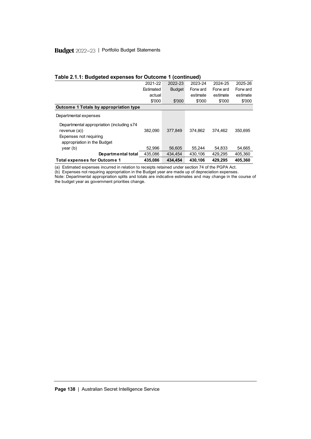#### Budget 2022-23 | Portfolio Budget Statements

| Table 2.1.1: Budgeted expenses for Outcome 1 (continued)      |           |               |          |          |          |  |  |
|---------------------------------------------------------------|-----------|---------------|----------|----------|----------|--|--|
|                                                               | 2021-22   | 2022-23       | 2023-24  | 2024-25  | 2025-26  |  |  |
|                                                               | Estimated | <b>Budget</b> | Forw ard | Forw ard | Forw ard |  |  |
|                                                               | actual    |               | estimate | estimate | estimate |  |  |
|                                                               | \$'000    | \$'000        | \$'000   | \$'000   | \$'000   |  |  |
| Outcome 1 Totals by appropriation type                        |           |               |          |          |          |  |  |
| Departmental expenses                                         |           |               |          |          |          |  |  |
| Departmental appropriation (including s74)<br>revenue $(a)$ ) | 382.090   | 377.849       | 374.862  | 374.462  | 350.695  |  |  |
| <b>Expenses not requiring</b><br>appropriation in the Budget  |           |               |          |          |          |  |  |
| year(b)                                                       | 52.996    | 56.605        | 55.244   | 54.833   | 54.665   |  |  |
| Departmental total                                            | 435,086   | 434.454       | 430.106  | 429,295  | 405.360  |  |  |
| <b>Total expenses for Outcome 1</b>                           | 435,086   | 434.454       | 430,106  | 429,295  | 405,360  |  |  |

(a) Estimated expenses incurred in relation to receipts retained under section 74 of the PGPA Act.

(b) Expenses not requiring appropriation in the Budget year are made up of depreciation expenses.

Note: Departmental appropriation splits and totals are indicative estimates and may change in the course of the budget year as government priorities change.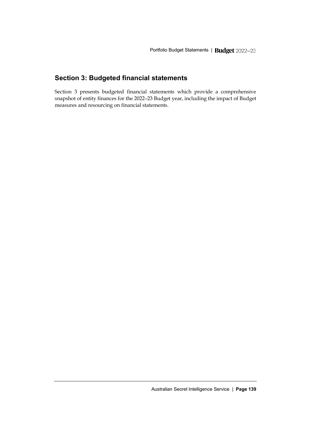### <span id="page-10-0"></span>**Section 3: Budgeted financial statements**

Section 3 presents budgeted financial statements which provide a comprehensive snapshot of entity finances for the 2022–23 Budget year, including the impact of Budget measures and resourcing on financial statements.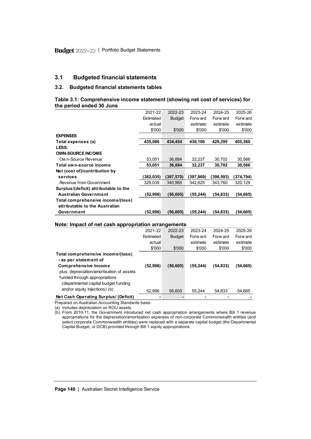#### <span id="page-11-0"></span>**3.1 Budgeted financial statements**

#### **3.2. Budgeted financial statements tables**

**Table 3.1: Comprehensive income statement (showing net cost of services) for the period ended 30 June**

| the period ended 30 June              |           |               |           |            |           |
|---------------------------------------|-----------|---------------|-----------|------------|-----------|
|                                       | 2021-22   | 2022-23       | 2023-24   | 2024-25    | 2025-26   |
|                                       | Estimated | <b>Budget</b> | Forw ard  | Forw ard   | Forw ard  |
|                                       | actual    |               | estimate  | estimate   | estimate  |
|                                       | \$'000    | \$'000        | \$'000    | \$'000     | \$'000    |
| <b>EXPENSES</b>                       |           |               |           |            |           |
| Total expenses (a)                    | 435,086   | 434.454       | 430,106   | 429,295    | 405,360   |
| LESS:                                 |           |               |           |            |           |
| <b>OWN-SOURCE INCOME</b>              |           |               |           |            |           |
| Ow n-Source Revenue                   | 53,051    | 36,884        | 32,237    | 30,702     | 30,566    |
| Total own-source income               | 53,051    | 36.884        | 32,237    | 30,702     | 30,566    |
| Net (cost of)/contribution by         |           |               |           |            |           |
| services                              | (382,035) | (397, 570)    | (397,869) | (398, 593) | (374,794) |
| Revenue from Government               | 329.039   | 340.965       | 342.625   | 343,760    | 320,129   |
| Surplus/(deficit) attributable to the |           |               |           |            |           |
| <b>Australian Government</b>          | (52,996)  | (56, 605)     | (55,244)  | (54,833)   | (54,665)  |
| Total comprehensive income/(loss)     |           |               |           |            |           |
| attributable to the Australian        |           |               |           |            |           |
| Government                            | (52,996)  | (56, 605)     | (55,244)  | (54,833)   | (54,665)  |

#### **Note: Impact of net cash appropriation arrangements**

| 2021-22   | 2022-23       | 2023-24   | 2024-25                                             | 2025-26  |
|-----------|---------------|-----------|-----------------------------------------------------|----------|
| Estimated | <b>Budget</b> | Forw ard  | Forw ard                                            | Forw ard |
| actual    |               | estimate  | estimate                                            | estimate |
| \$'000    | \$'000        | \$'000    | \$'000                                              | \$'000   |
|           |               |           |                                                     |          |
| (52,996)  | (56, 605)     | (55, 244) | (54, 833)                                           | (54,665) |
| 52,996    | 56.605        | 55.244    | 54.833                                              | 54.665   |
|           |               |           |                                                     |          |
|           |               |           | Note: Impact of net cash appropriation arrangements |          |

Prepared on Australian Accounting Standards basis.

(a) Includes depreciation on ROU assets.

(b) From 2010-11, the Government introduced net cash appropriation arrangements where Bill 1 revenue appropriations for the depreciation/amortisation expenses of non-corporate Commonwealth entities (and select corporate Commonwealth entities) were replaced with a separate capital budget (the Departmental Capital Budget, or DCB) provided through Bill 1 equity appropriations.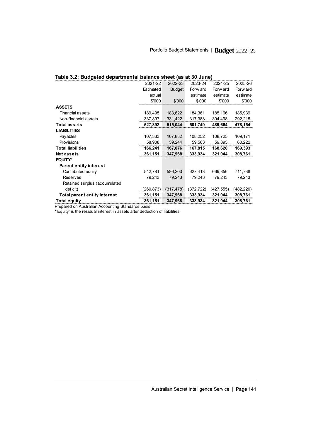| Table 3.2: Budgeted departmental balance sheet (as at 30 June) |           |               |           |           |           |  |
|----------------------------------------------------------------|-----------|---------------|-----------|-----------|-----------|--|
|                                                                | 2021-22   | 2022-23       | 2023-24   | 2024-25   | 2025-26   |  |
|                                                                | Estimated | <b>Budget</b> | Forw ard  | Forw ard  | Forw ard  |  |
|                                                                | actual    |               | estimate  | estimate  | estimate  |  |
|                                                                | \$'000    | \$'000        | \$'000    | \$'000    | \$'000    |  |
| <b>ASSETS</b>                                                  |           |               |           |           |           |  |
| <b>Financial assets</b>                                        | 189,495   | 183,622       | 184,361   | 185,166   | 185,939   |  |
| Non-financial assets                                           | 337,897   | 331,422       | 317,388   | 304,498   | 292,215   |  |
| <b>Total assets</b>                                            | 527,392   | 515,044       | 501,749   | 489,664   | 478,154   |  |
| <b>LIABILITIES</b>                                             |           |               |           |           |           |  |
| Payables                                                       | 107,333   | 107,832       | 108,252   | 108,725   | 109,171   |  |
| Provisions                                                     | 58,908    | 59,244        | 59,563    | 59,895    | 60,222    |  |
| <b>Total liabilities</b>                                       | 166,241   | 167,076       | 167,815   | 168,620   | 169,393   |  |
| <b>Netassets</b>                                               | 361,151   | 347,968       | 333,934   | 321,044   | 308,761   |  |
| EQUITY*                                                        |           |               |           |           |           |  |
| <b>Parent entity interest</b>                                  |           |               |           |           |           |  |
| Contributed equity                                             | 542,781   | 586,203       | 627,413   | 669,356   | 711,738   |  |
| <b>Reserves</b>                                                | 79,243    | 79,243        | 79,243    | 79,243    | 79,243    |  |
| Retained surplus (accumulated                                  |           |               |           |           |           |  |
| deficit)                                                       | 260,873)  | (317,478)     | (372,722) | (427,555) | (482,220) |  |
| <b>Total parent entity interest</b>                            | 361,151   | 347,968       | 333,934   | 321,044   | 308,761   |  |
| <b>Total equity</b>                                            | 361,151   | 347,968       | 333,934   | 321,044   | 308,761   |  |

Prepared on Australian Accounting Standards basis.

\*'Equity' is the residual interest in assets after deduction of liabilities.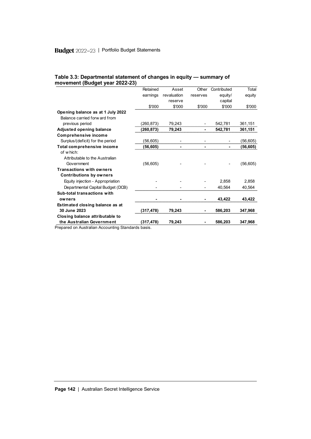|                                   | Retained   | Asset       | Other    | Contributed | Total     |
|-----------------------------------|------------|-------------|----------|-------------|-----------|
|                                   | earnings   | revaluation | reserves | equity/     | equity    |
|                                   |            | reserve     |          | capital     |           |
|                                   | \$'000     | \$'000      | \$'000   | \$'000      | \$'000    |
| Opening balance as at 1 July 2022 |            |             |          |             |           |
| Balance carried forw ard from     |            |             |          |             |           |
| previous period                   | (260,873)  | 79,243      |          | 542,781     | 361,151   |
| <b>Adjusted opening balance</b>   | (260, 873) | 79,243      | ٠        | 542.781     | 361,151   |
| <b>Comprehensive income</b>       |            |             |          |             |           |
| Surplus/(deficit) for the period  | (56,605)   |             |          |             | (56,605)  |
| Total comprehensive income        | (56,605)   |             |          |             | (56,605)  |
| of which:                         |            |             |          |             |           |
| Attributable to the Australian    |            |             |          |             |           |
| Government                        | (56, 605)  |             |          |             | (56, 605) |
| <b>Transactions with owners</b>   |            |             |          |             |           |
| <b>Contributions by owners</b>    |            |             |          |             |           |
| Equity injection - Appropriation  |            |             |          | 2,858       | 2,858     |
| Departmental Capital Budget (DCB) |            |             |          | 40,564      | 40.564    |
| Sub-total transactions with       |            |             |          |             |           |
| owners                            |            |             |          | 43.422      | 43,422    |
| Estimated closing balance as at   |            |             |          |             |           |
| 30 June 2023                      | (317,478)  | 79.243      |          | 586,203     | 347,968   |
| Closing balance attributable to   |            |             |          |             |           |
| the Australian Government         | (317, 478) | 79,243      |          | 586,203     | 347,968   |
|                                   |            |             |          |             |           |

#### **Table 3.3: Departmental statement of changes in equity — summary of movement (Budget year 2022-23)**

Prepared on Australian Accounting Standards basis.